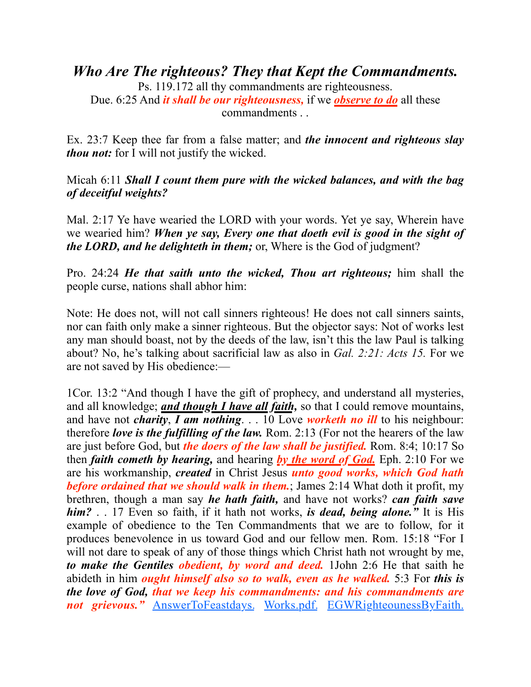*Who Are The righteous? They that Kept the Commandments.*

Ps. 119.172 all thy commandments are righteousness. Due. 6:25 And *it shall be our righteousness,* if we *observe to do* all these commandments . .

Ex. 23:7 Keep thee far from a false matter; and *the innocent and righteous slay thou not:* for I will not justify the wicked.

Micah 6:11 *Shall I count them pure with the wicked balances, and with the bag of deceitful weights?*

Mal. 2:17 Ye have wearied the LORD with your words. Yet ye say, Wherein have we wearied him? *When ye say, Every one that doeth evil is good in the sight of the LORD, and he delighteth in them;* or, Where is the God of judgment?

Pro. 24:24 *He that saith unto the wicked, Thou art righteous;* him shall the people curse, nations shall abhor him:

Note: He does not, will not call sinners righteous! He does not call sinners saints, nor can faith only make a sinner righteous. But the objector says: Not of works lest any man should boast, not by the deeds of the law, isn't this the law Paul is talking about? No, he's talking about sacrificial law as also in *Gal. 2:21: Acts 15.* For we are not saved by His obedience:—

1Cor. 13:2 "And though I have the gift of prophecy, and understand all mysteries, and all knowledge; *and though I have all faith,* so that I could remove mountains, and have not *charity*, *I am nothing*. . . 10 Love *worketh no ill* to his neighbour: therefore *love is the fulfilling of the law.* Rom. 2:13 (For not the hearers of the law are just before God, but *the doers of the law shall be justified.* Rom. 8:4; 10:17 So then *faith cometh by hearing,* and hearing *by the word of God.* Eph. 2:10 For we are his workmanship, *created* in Christ Jesus *unto good works, which God hath before ordained that we should walk in them.*; James 2:14 What doth it profit, my brethren, though a man say *he hath faith,* and have not works? *can faith save him?* . . 17 Even so faith, if it hath not works, *is dead, being alone."* It is His example of obedience to the Ten Commandments that we are to follow, for it produces benevolence in us toward God and our fellow men. Rom. 15:18 "For I will not dare to speak of any of those things which Christ hath not wrought by me, *to make the Gentiles obedient, by word and deed.* 1John 2:6 He that saith he abideth in him *ought himself also so to walk, even as he walked.* 5:3 For *this is the love of God, that we keep his commandments: and his commandments are not grievous."* [AnswerToFeastdays.](https://sdapillars.org/media/AnswerToFeastdays.pdf) [Works.pdf.](https://sdapillars.org/media/Works.pdf) [EGWRighteounessByFaith.](https://sdapillars.org/media/EGWRighteounessByFaith.pdf)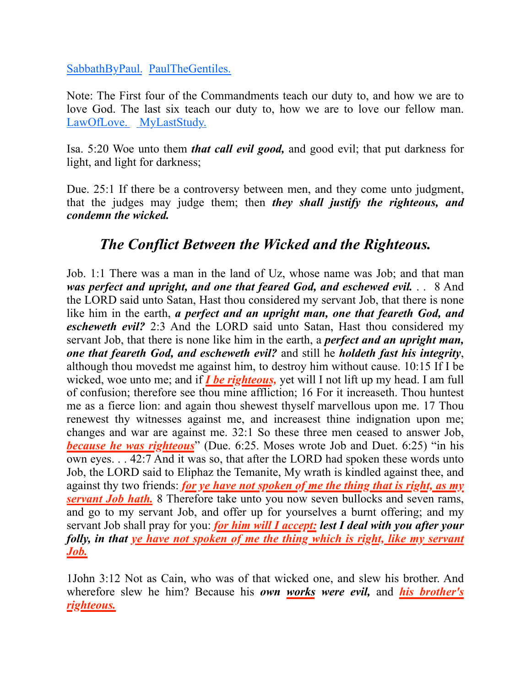[SabbathByPaul](https://sdapillars.org/media/SabbathByPaul.pdf). [PaulTheGentiles](https://sdapillars.org/media/PaulTheGentiles.pdf).

Note: The First four of the Commandments teach our duty to, and how we are to love God. The last six teach our duty to, how we are to love our fellow man. [LawOfLove.](https://sdapillars.org/media/LawOfLove.pdf) [MyLastStudy.](https://sdapillars.org/media/MyLastStudy.pdf)

Isa. 5:20 Woe unto them *that call evil good,* and good evil; that put darkness for light, and light for darkness;

Due. 25:1 If there be a controversy between men, and they come unto judgment, that the judges may judge them; then *they shall justify the righteous, and condemn the wicked.*

## *The Conflict Between the Wicked and the Righteous.*

Job. 1:1 There was a man in the land of Uz, whose name was Job; and that man *was perfect and upright, and one that feared God, and eschewed evil.* . . 8 And the LORD said unto Satan, Hast thou considered my servant Job, that there is none like him in the earth, *a perfect and an upright man, one that feareth God, and escheweth evil?* 2:3 And the LORD said unto Satan, Hast thou considered my servant Job, that there is none like him in the earth, a *perfect and an upright man, one that feareth God, and escheweth evil?* and still he *holdeth fast his integrity*, although thou movedst me against him, to destroy him without cause. 10:15 If I be wicked, woe unto me; and if *I be righteous,* yet will I not lift up my head. I am full of confusion; therefore see thou mine affliction; 16 For it increaseth. Thou huntest me as a fierce lion: and again thou shewest thyself marvellous upon me. 17 Thou renewest thy witnesses against me, and increasest thine indignation upon me; changes and war are against me. 32:1 So these three men ceased to answer Job, *because he was righteous*" (Due. 6:25. Moses wrote Job and Duet. 6:25) "in his own eyes. . . 42:7 And it was so, that after the LORD had spoken these words unto Job, the LORD said to Eliphaz the Temanite, My wrath is kindled against thee, and against thy two friends: *for ye have not spoken of me the thing that is right, as my*  **servant Job hath.** 8 Therefore take unto you now seven bullocks and seven rams, and go to my servant Job, and offer up for yourselves a burnt offering; and my servant Job shall pray for you: *for him will I accept: lest I deal with you after your folly, in that ye have not spoken of me the thing which is right, like my servant Job.*

1John 3:12 Not as Cain, who was of that wicked one, and slew his brother. And wherefore slew he him? Because his *own works were evil,* and *his brother's righteous.*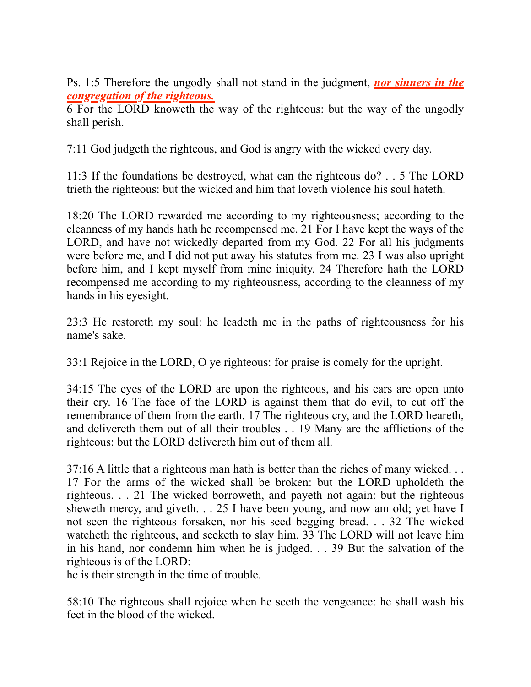Ps. 1:5 Therefore the ungodly shall not stand in the judgment, *nor sinners in the congregation of the righteous.*

6 For the LORD knoweth the way of the righteous: but the way of the ungodly shall perish.

7:11 God judgeth the righteous, and God is angry with the wicked every day.

11:3 If the foundations be destroyed, what can the righteous do? . . 5 The LORD trieth the righteous: but the wicked and him that loveth violence his soul hateth.

18:20 The LORD rewarded me according to my righteousness; according to the cleanness of my hands hath he recompensed me. 21 For I have kept the ways of the LORD, and have not wickedly departed from my God. 22 For all his judgments were before me, and I did not put away his statutes from me. 23 I was also upright before him, and I kept myself from mine iniquity. 24 Therefore hath the LORD recompensed me according to my righteousness, according to the cleanness of my hands in his eyesight.

23:3 He restoreth my soul: he leadeth me in the paths of righteousness for his name's sake.

33:1 Rejoice in the LORD, O ye righteous: for praise is comely for the upright.

34:15 The eyes of the LORD are upon the righteous, and his ears are open unto their cry. 16 The face of the LORD is against them that do evil, to cut off the remembrance of them from the earth. 17 The righteous cry, and the LORD heareth, and delivereth them out of all their troubles . . 19 Many are the afflictions of the righteous: but the LORD delivereth him out of them all.

37:16 A little that a righteous man hath is better than the riches of many wicked. . . 17 For the arms of the wicked shall be broken: but the LORD upholdeth the righteous. . . 21 The wicked borroweth, and payeth not again: but the righteous sheweth mercy, and giveth. . . 25 I have been young, and now am old; yet have I not seen the righteous forsaken, nor his seed begging bread. . . 32 The wicked watcheth the righteous, and seeketh to slay him. 33 The LORD will not leave him in his hand, nor condemn him when he is judged. . . 39 But the salvation of the righteous is of the LORD:

he is their strength in the time of trouble.

58:10 The righteous shall rejoice when he seeth the vengeance: he shall wash his feet in the blood of the wicked.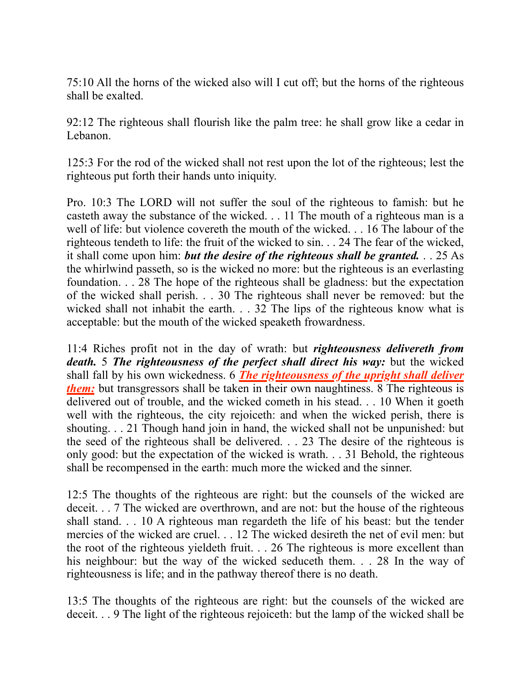75:10 All the horns of the wicked also will I cut off; but the horns of the righteous shall be exalted.

92:12 The righteous shall flourish like the palm tree: he shall grow like a cedar in Lebanon.

125:3 For the rod of the wicked shall not rest upon the lot of the righteous; lest the righteous put forth their hands unto iniquity.

Pro. 10:3 The LORD will not suffer the soul of the righteous to famish: but he casteth away the substance of the wicked. . . 11 The mouth of a righteous man is a well of life: but violence covereth the mouth of the wicked. . . 16 The labour of the righteous tendeth to life: the fruit of the wicked to sin. . . 24 The fear of the wicked, it shall come upon him: *but the desire of the righteous shall be granted.* . . 25 As the whirlwind passeth, so is the wicked no more: but the righteous is an everlasting foundation. . . 28 The hope of the righteous shall be gladness: but the expectation of the wicked shall perish. . . 30 The righteous shall never be removed: but the wicked shall not inhabit the earth. . . 32 The lips of the righteous know what is acceptable: but the mouth of the wicked speaketh frowardness.

11:4 Riches profit not in the day of wrath: but *righteousness delivereth from death.* 5 *The righteousness of the perfect shall direct his way:* but the wicked shall fall by his own wickedness. 6 *The righteousness of the upright shall deliver them:* but transgressors shall be taken in their own naughtiness. 8 The righteous is delivered out of trouble, and the wicked cometh in his stead. . . 10 When it goeth well with the righteous, the city rejoiceth: and when the wicked perish, there is shouting. . . 21 Though hand join in hand, the wicked shall not be unpunished: but the seed of the righteous shall be delivered. . . 23 The desire of the righteous is only good: but the expectation of the wicked is wrath. . . 31 Behold, the righteous shall be recompensed in the earth: much more the wicked and the sinner.

12:5 The thoughts of the righteous are right: but the counsels of the wicked are deceit. . . 7 The wicked are overthrown, and are not: but the house of the righteous shall stand. . . 10 A righteous man regardeth the life of his beast: but the tender mercies of the wicked are cruel. . . 12 The wicked desireth the net of evil men: but the root of the righteous yieldeth fruit. . . 26 The righteous is more excellent than his neighbour: but the way of the wicked seduceth them. . . 28 In the way of righteousness is life; and in the pathway thereof there is no death.

13:5 The thoughts of the righteous are right: but the counsels of the wicked are deceit. . . 9 The light of the righteous rejoiceth: but the lamp of the wicked shall be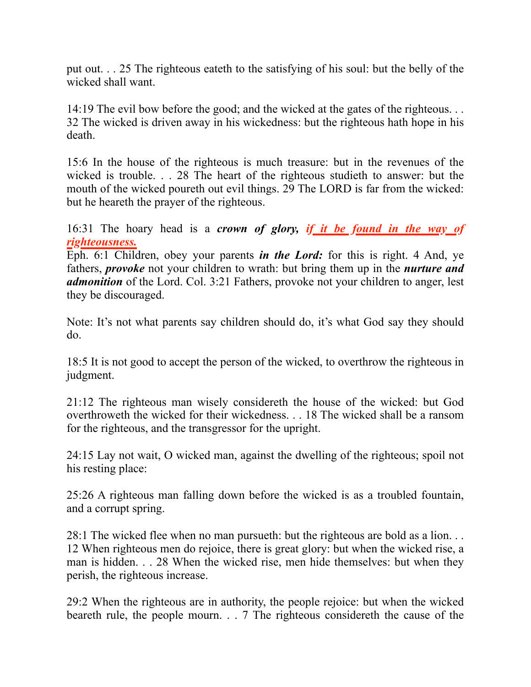put out. . . 25 The righteous eateth to the satisfying of his soul: but the belly of the wicked shall want.

14:19 The evil bow before the good; and the wicked at the gates of the righteous. . . 32 The wicked is driven away in his wickedness: but the righteous hath hope in his death.

15:6 In the house of the righteous is much treasure: but in the revenues of the wicked is trouble. . . 28 The heart of the righteous studieth to answer: but the mouth of the wicked poureth out evil things. 29 The LORD is far from the wicked: but he heareth the prayer of the righteous.

16:31 The hoary head is a *crown of glory, if it be found in the way of righteousness.*

Eph. 6:1 Children, obey your parents *in the Lord:* for this is right. 4 And, ye fathers, *provoke* not your children to wrath: but bring them up in the *nurture and admonition* of the Lord. Col. 3:21 Fathers, provoke not your children to anger, lest they be discouraged.

Note: It's not what parents say children should do, it's what God say they should do.

18:5 It is not good to accept the person of the wicked, to overthrow the righteous in judgment.

21:12 The righteous man wisely considereth the house of the wicked: but God overthroweth the wicked for their wickedness. . . 18 The wicked shall be a ransom for the righteous, and the transgressor for the upright.

24:15 Lay not wait, O wicked man, against the dwelling of the righteous; spoil not his resting place:

25:26 A righteous man falling down before the wicked is as a troubled fountain, and a corrupt spring.

28:1 The wicked flee when no man pursueth: but the righteous are bold as a lion. . . 12 When righteous men do rejoice, there is great glory: but when the wicked rise, a man is hidden. . . 28 When the wicked rise, men hide themselves: but when they perish, the righteous increase.

29:2 When the righteous are in authority, the people rejoice: but when the wicked beareth rule, the people mourn. . . 7 The righteous considereth the cause of the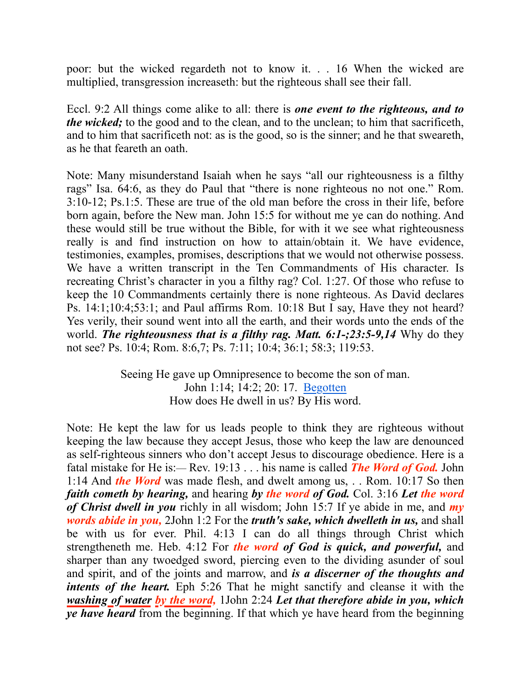poor: but the wicked regardeth not to know it. . . 16 When the wicked are multiplied, transgression increaseth: but the righteous shall see their fall.

Eccl. 9:2 All things come alike to all: there is *one event to the righteous, and to the wicked;* to the good and to the clean, and to the unclean; to him that sacrificeth, and to him that sacrificeth not: as is the good, so is the sinner; and he that sweareth, as he that feareth an oath.

Note: Many misunderstand Isaiah when he says "all our righteousness is a filthy rags" Isa. 64:6, as they do Paul that "there is none righteous no not one." Rom. 3:10-12; Ps.1:5. These are true of the old man before the cross in their life, before born again, before the New man. John 15:5 for without me ye can do nothing. And these would still be true without the Bible, for with it we see what righteousness really is and find instruction on how to attain/obtain it. We have evidence, testimonies, examples, promises, descriptions that we would not otherwise possess. We have a written transcript in the Ten Commandments of His character. Is recreating Christ's character in you a filthy rag? Col. 1:27. Of those who refuse to keep the 10 Commandments certainly there is none righteous. As David declares Ps. 14:1;10:4;53:1; and Paul affirms Rom. 10:18 But I say, Have they not heard? Yes verily, their sound went into all the earth, and their words unto the ends of the world. *The righteousness that is a filthy rag. Matt. 6:1-;23:5-9,14* Why do they not see? Ps. 10:4; Rom. 8:6,7; Ps. 7:11; 10:4; 36:1; 58:3; 119:53.

> Seeing He gave up Omnipresence to become the son of man. John 1:14; 14:2; 20: 17. [Begotten](https://sdapillars.org/media/Begotten.pdf) How does He dwell in us? By His word.

Note: He kept the law for us leads people to think they are righteous without keeping the law because they accept Jesus, those who keep the law are denounced as self-righteous sinners who don't accept Jesus to discourage obedience. Here is a fatal mistake for He is:— Rev. 19:13 . . . his name is called *The Word of God.* John 1:14 And *the Word* was made flesh, and dwelt among us, . . Rom. 10:17 So then *faith cometh by hearing,* and hearing *by the word of God.* Col. 3:16 *Let the word of Christ dwell in you* richly in all wisdom; John 15:7 If ye abide in me, and *my words abide in you,* 2John 1:2 For the *truth's sake, which dwelleth in us,* and shall be with us for ever. Phil. 4:13 I can do all things through Christ which strengtheneth me. Heb. 4:12 For *the word of God is quick, and powerful,* and sharper than any twoedged sword, piercing even to the dividing asunder of soul and spirit, and of the joints and marrow, and *is a discerner of the thoughts and intents of the heart.* Eph 5:26 That he might sanctify and cleanse it with the *washing of water by the word,* 1John 2:24 *Let that therefore abide in you, which ye have heard* from the beginning. If that which ye have heard from the beginning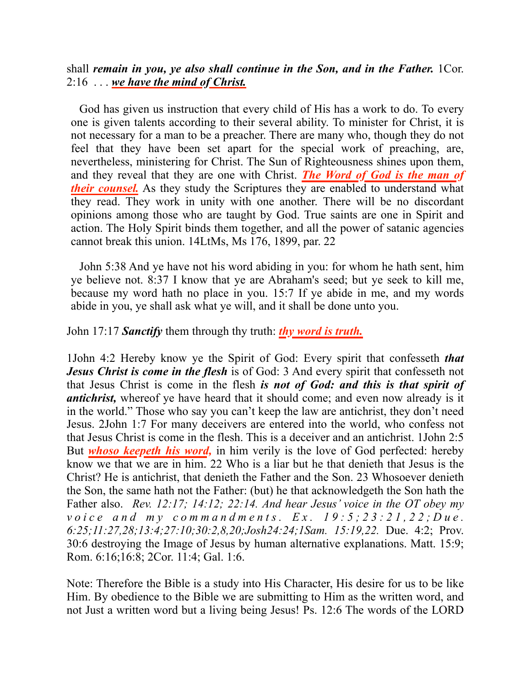shall *remain in you, ye also shall continue in the Son, and in the Father.* 1Cor. 2:16 . . . *we have the mind of Christ.*

God has given us instruction that every child of His has a work to do. To every one is given talents according to their several ability. To minister for Christ, it is not necessary for a man to be a preacher. There are many who, though they do not feel that they have been set apart for the special work of preaching, are, nevertheless, ministering for Christ. The Sun of Righteousness shines upon them, and they reveal that they are one with Christ. *The Word of God is the man of their counsel*. As they study the Scriptures they are enabled to understand what they read. They work in unity with one another. There will be no discordant opinions among those who are taught by God. True saints are one in Spirit and action. The Holy Spirit binds them together, and all the power of satanic agencies cannot break this union. 14LtMs, Ms 176, 1899, par. 22

John 5:38 And ye have not his word abiding in you: for whom he hath sent, him ye believe not. 8:37 I know that ye are Abraham's seed; but ye seek to kill me, because my word hath no place in you. 15:7 If ye abide in me, and my words abide in you, ye shall ask what ye will, and it shall be done unto you.

John 17:17 *Sanctify* them through thy truth: *thy word is truth.*

1John 4:2 Hereby know ye the Spirit of God: Every spirit that confesseth *that Jesus Christ is come in the flesh* is of God: 3 And every spirit that confesseth not that Jesus Christ is come in the flesh *is not of God: and this is that spirit of antichrist*, whereof ye have heard that it should come; and even now already is it in the world." Those who say you can't keep the law are antichrist, they don't need Jesus. 2John 1:7 For many deceivers are entered into the world, who confess not that Jesus Christ is come in the flesh. This is a deceiver and an antichrist. 1John 2:5 But *whoso keepeth his word,* in him verily is the love of God perfected: hereby know we that we are in him. 22 Who is a liar but he that denieth that Jesus is the Christ? He is antichrist, that denieth the Father and the Son. 23 Whosoever denieth the Son, the same hath not the Father: (but) he that acknowledgeth the Son hath the Father also. *Rev. 12:17; 14:12; 22:14. And hear Jesus' voice in the OT obey my voice and my commandments.* Ex. 19:5;23:21,22; Due. *6:25;11:27,28;13:4;27:10;30:2,8,20;Josh24:24;1Sam. 15:19,22.* Due. 4:2; Prov. 30:6 destroying the Image of Jesus by human alternative explanations. Matt. 15:9; Rom. 6:16;16:8; 2Cor. 11:4; Gal. 1:6.

Note: Therefore the Bible is a study into His Character, His desire for us to be like Him. By obedience to the Bible we are submitting to Him as the written word, and not Just a written word but a living being Jesus! Ps. 12:6 The words of the LORD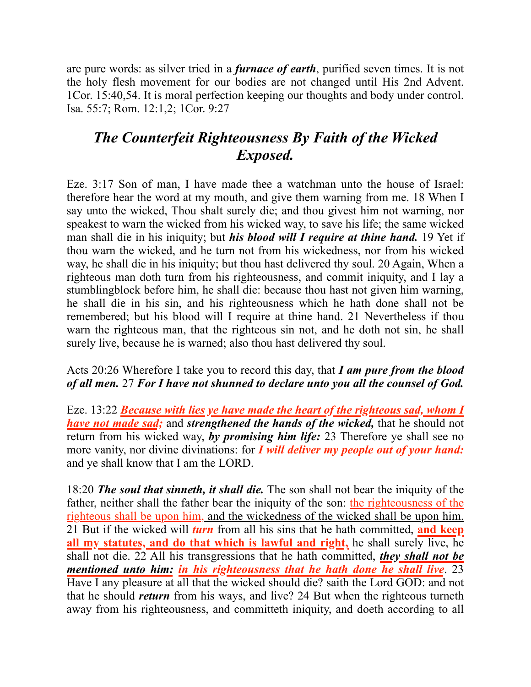are pure words: as silver tried in a *furnace of earth*, purified seven times. It is not the holy flesh movement for our bodies are not changed until His 2nd Advent. 1Cor. 15:40,54. It is moral perfection keeping our thoughts and body under control. Isa. 55:7; Rom. 12:1,2; 1Cor. 9:27

## *The Counterfeit Righteousness By Faith of the Wicked Exposed.*

Eze. 3:17 Son of man, I have made thee a watchman unto the house of Israel: therefore hear the word at my mouth, and give them warning from me. 18 When I say unto the wicked, Thou shalt surely die; and thou givest him not warning, nor speakest to warn the wicked from his wicked way, to save his life; the same wicked man shall die in his iniquity; but *his blood will I require at thine hand.* 19 Yet if thou warn the wicked, and he turn not from his wickedness, nor from his wicked way, he shall die in his iniquity; but thou hast delivered thy soul. 20 Again, When a righteous man doth turn from his righteousness, and commit iniquity, and I lay a stumblingblock before him, he shall die: because thou hast not given him warning, he shall die in his sin, and his righteousness which he hath done shall not be remembered; but his blood will I require at thine hand. 21 Nevertheless if thou warn the righteous man, that the righteous sin not, and he doth not sin, he shall surely live, because he is warned; also thou hast delivered thy soul.

#### Acts 20:26 Wherefore I take you to record this day, that *I am pure from the blood of all men.* 27 *For I have not shunned to declare unto you all the counsel of God.*

Eze. 13:22 *Because with lies ye have made the heart of the righteous sad, whom I have not made sad;* and *strengthened the hands of the wicked,* that he should not return from his wicked way, *by promising him life:* 23 Therefore ye shall see no more vanity, nor divine divinations: for *I will deliver my people out of your hand:* and ye shall know that I am the LORD.

18:20 *The soul that sinneth, it shall die.* The son shall not bear the iniquity of the father, neither shall the father bear the iniquity of the son: the righteousness of the righteous shall be upon him, and the wickedness of the wicked shall be upon him. 21 But if the wicked will *turn* from all his sins that he hath committed, **and keep all my statutes, and do that which is lawful and right,** he shall surely live, he shall not die. 22 All his transgressions that he hath committed, *they shall not be mentioned unto him: in his righteousness that he hath done he shall live*. 23 Have I any pleasure at all that the wicked should die? saith the Lord GOD: and not that he should *return* from his ways, and live? 24 But when the righteous turneth away from his righteousness, and committeth iniquity, and doeth according to all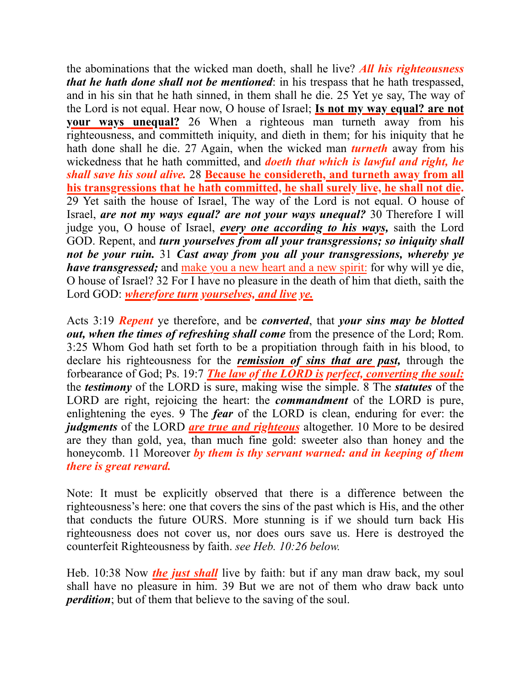the abominations that the wicked man doeth, shall he live? *All his righteousness that he hath done shall not be mentioned*: in his trespass that he hath trespassed, and in his sin that he hath sinned, in them shall he die. 25 Yet ye say, The way of the Lord is not equal. Hear now, O house of Israel; **Is not my way equal? are not your ways unequal?** 26 When a righteous man turneth away from his righteousness, and committeth iniquity, and dieth in them; for his iniquity that he hath done shall he die. 27 Again, when the wicked man *turneth* away from his wickedness that he hath committed, and *doeth that which is lawful and right, he shall save his soul alive.* 28 **Because he considereth, and turneth away from all his transgressions that he hath committed, he shall surely live, he shall not die.** 29 Yet saith the house of Israel, The way of the Lord is not equal. O house of Israel, *are not my ways equal? are not your ways unequal?* 30 Therefore I will judge you, O house of Israel, *every one according to his ways,* saith the Lord GOD. Repent, and *turn yourselves from all your transgressions; so iniquity shall not be your ruin.* 31 *Cast away from you all your transgressions, whereby ye have transgressed;* and make you a new heart and a new spirit: for why will ye die, O house of Israel? 32 For I have no pleasure in the death of him that dieth, saith the Lord GOD: *wherefore turn yourselves, and live ye.*

Acts 3:19 *Repent* ye therefore, and be *converted*, that *your sins may be blotted out, when the times of refreshing shall come* from the presence of the Lord; Rom. 3:25 Whom God hath set forth to be a propitiation through faith in his blood, to declare his righteousness for the *remission of sins that are past,* through the forbearance of God; Ps. 19:7 *The law of the LORD is perfect, converting the soul:* the *testimony* of the LORD is sure, making wise the simple. 8 The *statutes* of the LORD are right, rejoicing the heart: the *commandment* of the LORD is pure, enlightening the eyes. 9 The *fear* of the LORD is clean, enduring for ever: the *judgments* of the LORD *are true and righteous* altogether. 10 More to be desired are they than gold, yea, than much fine gold: sweeter also than honey and the honeycomb. 11 Moreover *by them is thy servant warned: and in keeping of them there is great reward.*

Note: It must be explicitly observed that there is a difference between the righteousness's here: one that covers the sins of the past which is His, and the other that conducts the future OURS. More stunning is if we should turn back His righteousness does not cover us, nor does ours save us. Here is destroyed the counterfeit Righteousness by faith. *see Heb. 10:26 below.*

Heb. 10:38 Now *the just shall* live by faith: but if any man draw back, my soul shall have no pleasure in him. 39 But we are not of them who draw back unto *perdition*; but of them that believe to the saving of the soul.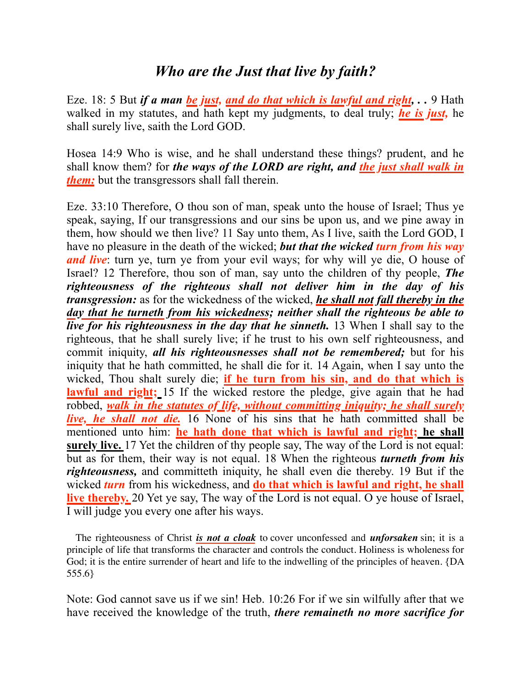### *Who are the Just that live by faith?*

Eze. 18: 5 But *if a man be just, and do that which is lawful and right, . .* 9 Hath walked in my statutes, and hath kept my judgments, to deal truly; *he is just,* he shall surely live, saith the Lord GOD.

Hosea 14:9 Who is wise, and he shall understand these things? prudent, and he shall know them? for *the ways of the LORD are right, and the just shall walk in them:* but the transgressors shall fall therein.

Eze. 33:10 Therefore, O thou son of man, speak unto the house of Israel; Thus ye speak, saying, If our transgressions and our sins be upon us, and we pine away in them, how should we then live? 11 Say unto them, As I live, saith the Lord GOD, I have no pleasure in the death of the wicked; *but that the wicked turn from his way and live*: turn ye, turn ye from your evil ways; for why will ye die, O house of Israel? 12 Therefore, thou son of man, say unto the children of thy people, *The righteousness of the righteous shall not deliver him in the day of his transgression:* as for the wickedness of the wicked, *he shall not fall thereby in the day that he turneth from his wickedness; neither shall the righteous be able to live for his righteousness in the day that he sinneth.* 13 When I shall say to the righteous, that he shall surely live; if he trust to his own self righteousness, and commit iniquity, *all his righteousnesses shall not be remembered;* but for his iniquity that he hath committed, he shall die for it. 14 Again, when I say unto the wicked, Thou shalt surely die; **if he turn from his sin, and do that which is lawful and right;** 15 If the wicked restore the pledge, give again that he had robbed, *walk in the statutes of life, without committing iniquity; he shall surely live, he shall not die.* 16 None of his sins that he hath committed shall be mentioned unto him: **he hath done that which is lawful and right; he shall surely live.** 17 Yet the children of thy people say, The way of the Lord is not equal: but as for them, their way is not equal. 18 When the righteous *turneth from his righteousness,* and committeth iniquity, he shall even die thereby. 19 But if the wicked *turn* from his wickedness, and **do that which is lawful and right, he shall live thereby.** 20 Yet ye say, The way of the Lord is not equal. O ye house of Israel, I will judge you every one after his ways.

The righteousness of Christ *is not a cloak* to cover unconfessed and *unforsaken* sin; it is a principle of life that transforms the character and controls the conduct. Holiness is wholeness for God; it is the entire surrender of heart and life to the indwelling of the principles of heaven. {DA 555.6}

Note: God cannot save us if we sin! Heb. 10:26 For if we sin wilfully after that we have received the knowledge of the truth, *there remaineth no more sacrifice for*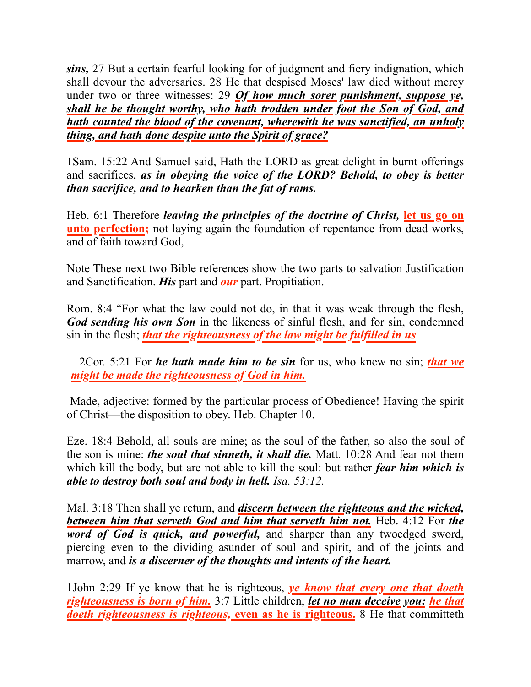*sins,* 27 But a certain fearful looking for of judgment and fiery indignation, which shall devour the adversaries. 28 He that despised Moses' law died without mercy under two or three witnesses: 29 *Of how much sorer punishment, suppose ye, shall he be thought worthy, who hath trodden under foot the Son of God, and hath counted the blood of the covenant, wherewith he was sanctified, an unholy thing, and hath done despite unto the Spirit of grace?*

1Sam. 15:22 And Samuel said, Hath the LORD as great delight in burnt offerings and sacrifices, *as in obeying the voice of the LORD? Behold, to obey is better than sacrifice, and to hearken than the fat of rams.*

Heb. 6:1 Therefore *leaving the principles of the doctrine of Christ,* **let us go on unto perfection;** not laying again the foundation of repentance from dead works, and of faith toward God,

Note These next two Bible references show the two parts to salvation Justification and Sanctification. *His* part and *our* part. Propitiation.

Rom. 8:4 "For what the law could not do, in that it was weak through the flesh, *God sending his own Son* in the likeness of sinful flesh, and for sin, condemned sin in the flesh; *that the righteousness of the law might be fulfilled in us*

2Cor. 5:21 For *he hath made him to be sin* for us, who knew no sin; *that we might be made the righteousness of God in him.*

 Made, adjective: formed by the particular process of Obedience! Having the spirit of Christ—the disposition to obey. Heb. Chapter 10.

Eze. 18:4 Behold, all souls are mine; as the soul of the father, so also the soul of the son is mine: *the soul that sinneth, it shall die.* Matt. 10:28 And fear not them which kill the body, but are not able to kill the soul: but rather *fear him which is able to destroy both soul and body in hell. Isa. 53:12.*

Mal. 3:18 Then shall ye return, and *discern between the righteous and the wicked, between him that serveth God and him that serveth him not.* Heb. 4:12 For *the word of God is quick, and powerful,* and sharper than any twoedged sword, piercing even to the dividing asunder of soul and spirit, and of the joints and marrow, and *is a discerner of the thoughts and intents of the heart.*

1John 2:29 If ye know that he is righteous, *ye know that every one that doeth righteousness is born of him.* 3:7 Little children, *let no man deceive you: he that doeth righteousness is righteous,* **even as he is righteous.** 8 He that committeth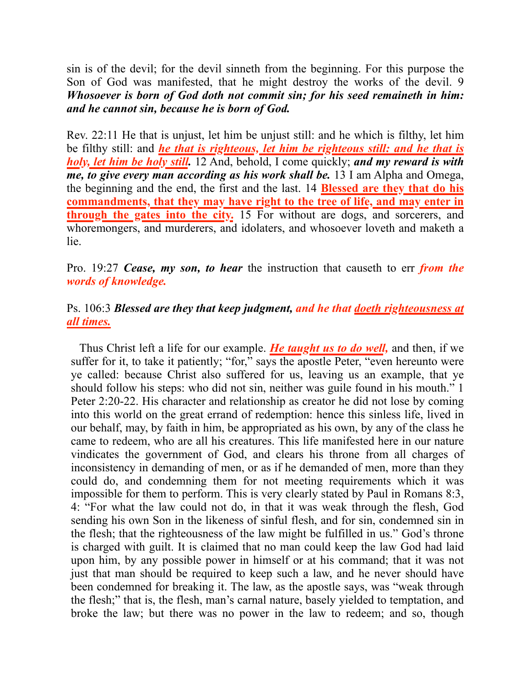sin is of the devil; for the devil sinneth from the beginning. For this purpose the Son of God was manifested, that he might destroy the works of the devil. 9 *Whosoever is born of God doth not commit sin; for his seed remaineth in him: and he cannot sin, because he is born of God.*

Rev. 22:11 He that is unjust, let him be unjust still: and he which is filthy, let him be filthy still: and *he that is righteous, let him be righteous still: and he that is holy, let him be holy still.* 12 And, behold, I come quickly; *and my reward is with me, to give every man according as his work shall be.* 13 I am Alpha and Omega, the beginning and the end, the first and the last. 14 **Blessed are they that do his commandments, that they may have right to the tree of life, and may enter in through the gates into the city.** 15 For without are dogs, and sorcerers, and whoremongers, and murderers, and idolaters, and whosoever loveth and maketh a lie.

Pro. 19:27 *Cease, my son, to hear* the instruction that causeth to err *from the words of knowledge.*

#### Ps. 106:3 *Blessed are they that keep judgment, and he that doeth righteousness at all times.*

Thus Christ left a life for our example. *He taught us to do well,* and then, if we suffer for it, to take it patiently; "for," says the apostle Peter, "even hereunto were ye called: because Christ also suffered for us, leaving us an example, that ye should follow his steps: who did not sin, neither was guile found in his mouth." [1](1965.62054) [Peter 2:20-22.](1965.62054) His character and relationship as creator he did not lose by coming into this world on the great errand of redemption: hence this sinless life, lived in our behalf, may, by faith in him, be appropriated as his own, by any of the class he came to redeem, who are all his creatures. This life manifested here in our nature vindicates the government of God, and clears his throne from all charges of inconsistency in demanding of men, or as if he demanded of men, more than they could do, and condemning them for not meeting requirements which it was impossible for them to perform. This is very clearly stated by Paul in [Romans 8:3,](1965.57340) [4:](1965.57340) "For what the law could not do, in that it was weak through the flesh, God sending his own Son in the likeness of sinful flesh, and for sin, condemned sin in the flesh; that the righteousness of the law might be fulfilled in us." God's throne is charged with guilt. It is claimed that no man could keep the law God had laid upon him, by any possible power in himself or at his command; that it was not just that man should be required to keep such a law, and he never should have been condemned for breaking it. The law, as the apostle says, was "weak through the flesh;" that is, the flesh, man's carnal nature, basely yielded to temptation, and broke the law; but there was no power in the law to redeem; and so, though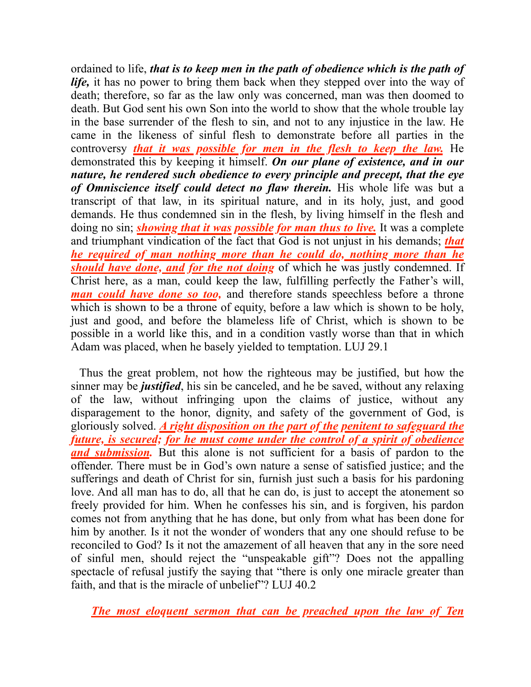ordained to life, *that is to keep men in the path of obedience which is the path of life,* it has no power to bring them back when they stepped over into the way of death; therefore, so far as the law only was concerned, man was then doomed to death. But God sent his own Son into the world to show that the whole trouble lay in the base surrender of the flesh to sin, and not to any injustice in the law. He came in the likeness of sinful flesh to demonstrate before all parties in the controversy *that it was possible for men in the flesh to keep the law.* He demonstrated this by keeping it himself. *On our plane of existence, and in our nature, he rendered such obedience to every principle and precept, that the eye of Omniscience itself could detect no flaw therein.* His whole life was but a transcript of that law, in its spiritual nature, and in its holy, just, and good demands. He thus condemned sin in the flesh, by living himself in the flesh and doing no sin; *showing that it was possible for man thus to live.* It was a complete and triumphant vindication of the fact that God is not unjust in his demands; *that he required of man nothing more than he could do, nothing more than he should have done, and for the not doing* of which he was justly condemned. If Christ here, as a man, could keep the law, fulfilling perfectly the Father's will, *man could have done so too,* and therefore stands speechless before a throne which is shown to be a throne of equity, before a law which is shown to be holy, just and good, and before the blameless life of Christ, which is shown to be possible in a world like this, and in a condition vastly worse than that in which Adam was placed, when he basely yielded to temptation. LUJ 29.1

Thus the great problem, not how the righteous may be justified, but how the sinner may be *justified*, his sin be canceled, and he be saved, without any relaxing of the law, without infringing upon the claims of justice, without any disparagement to the honor, dignity, and safety of the government of God, is gloriously solved. *A right disposition on the part of the penitent to safeguard the future, is secured; for he must come under the control of a spirit of obedience and submission.* But this alone is not sufficient for a basis of pardon to the offender. There must be in God's own nature a sense of satisfied justice; and the sufferings and death of Christ for sin, furnish just such a basis for his pardoning love. And all man has to do, all that he can do, is just to accept the atonement so freely provided for him. When he confesses his sin, and is forgiven, his pardon comes not from anything that he has done, but only from what has been done for him by another. Is it not the wonder of wonders that any one should refuse to be reconciled to God? Is it not the amazement of all heaven that any in the sore need of sinful men, should reject the "unspeakable gift"? Does not the appalling spectacle of refusal justify the saying that "there is only one miracle greater than faith, and that is the miracle of unbelief"? LUJ 40.2

*The most eloquent sermon that can be preached upon the law of Ten*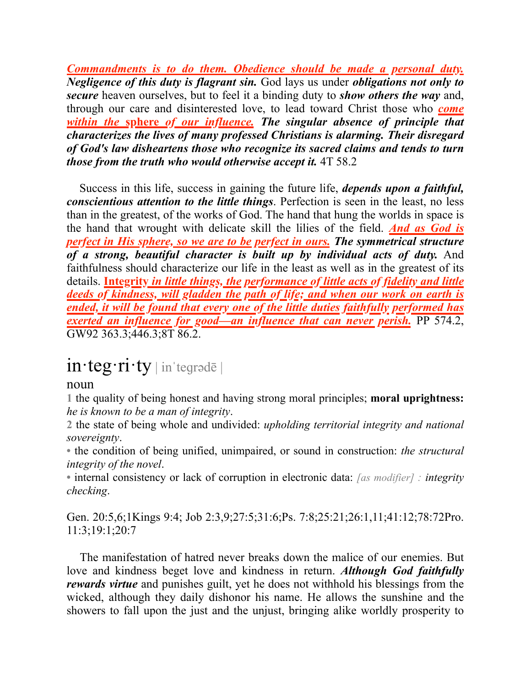*Commandments is to do them. Obedience should be made a personal duty. Negligence of this duty is flagrant sin.* God lays us under *obligations not only to secure* heaven ourselves, but to feel it a binding duty to *show others the way* and, through our care and disinterested love, to lead toward Christ those who *come within the* **sphere** *of our influence. The singular absence of principle that characterizes the lives of many professed Christians is alarming. Their disregard of God's law disheartens those who recognize its sacred claims and tends to turn those from the truth who would otherwise accept it.* 4T 58.2

 Success in this life, success in gaining the future life, *depends upon a faithful, conscientious attention to the little things*. Perfection is seen in the least, no less than in the greatest, of the works of God. The hand that hung the worlds in space is the hand that wrought with delicate skill the lilies of the field. *And as God is perfect in His sphere, so we are to be perfect in ours. The symmetrical structure of a strong, beautiful character is built up by individual acts of duty.* And faithfulness should characterize our life in the least as well as in the greatest of its details. **Integrity** *in little things, the performance of little acts of fidelity and little deeds of kindness, will gladden the path of life; and when our work on earth is ended, it will be found that every one of the little duties faithfully performed has exerted an influence for good—an influence that can never perish.* PP 574.2, GW92 363.3;446.3;8T 86.2.

# in·teg·ri·ty | inˈteɡrədē |

#### noun

**1** the quality of being honest and having strong moral principles; **moral uprightness:** *he is known to be a man of integrity*.

**2** the state of being whole and undivided: *upholding territorial integrity and national sovereignty*.

**•** the condition of being unified, unimpaired, or sound in construction: *the structural integrity of the novel*.

**•** internal consistency or lack of corruption in electronic data: *[as modifier] : integrity checking*.

Gen. 20:5,6;1Kings 9:4; Job 2:3,9;27:5;31:6;Ps. 7:8;25:21;26:1,11;41:12;78:72Pro. 11:3;19:1;20:7

 The manifestation of hatred never breaks down the malice of our enemies. But love and kindness beget love and kindness in return. *Although God faithfully rewards virtue* and punishes guilt, yet he does not withhold his blessings from the wicked, although they daily dishonor his name. He allows the sunshine and the showers to fall upon the just and the unjust, bringing alike worldly prosperity to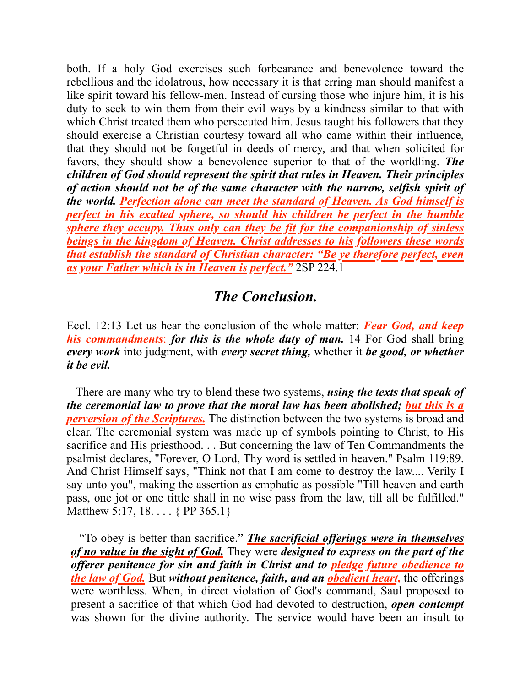both. If a holy God exercises such forbearance and benevolence toward the rebellious and the idolatrous, how necessary it is that erring man should manifest a like spirit toward his fellow-men. Instead of cursing those who injure him, it is his duty to seek to win them from their evil ways by a kindness similar to that with which Christ treated them who persecuted him. Jesus taught his followers that they should exercise a Christian courtesy toward all who came within their influence, that they should not be forgetful in deeds of mercy, and that when solicited for favors, they should show a benevolence superior to that of the worldling. *The children of God should represent the spirit that rules in Heaven. Their principles of action should not be of the same character with the narrow, selfish spirit of the world. Perfection alone can meet the standard of Heaven. As God himself is perfect in his exalted sphere, so should his children be perfect in the humble sphere they occupy. Thus only can they be fit for the companionship of sinless beings in the kingdom of Heaven. Christ addresses to his followers these words that establish the standard of Christian character: "Be ye therefore perfect, even as your Father which is in Heaven is perfect."* 2SP 224.1

## *The Conclusion.*

Eccl. 12:13 Let us hear the conclusion of the whole matter: *Fear God, and keep his commandments*: *for this is the whole duty of man.* 14 For God shall bring *every work* into judgment, with *every secret thing,* whether it *be good, or whether it be evil.*

 There are many who try to blend these two systems, *using the texts that speak of the ceremonial law to prove that the moral law has been abolished; but this is a perversion of the Scriptures.* The distinction between the two systems is broad and clear. The ceremonial system was made up of symbols pointing to Christ, to His sacrifice and His priesthood. . . But concerning the law of Ten Commandments the psalmist declares, "Forever, O Lord, Thy word is settled in heaven." Psalm 119:89. And Christ Himself says, "Think not that I am come to destroy the law.... Verily I say unto you", making the assertion as emphatic as possible "Till heaven and earth pass, one jot or one tittle shall in no wise pass from the law, till all be fulfilled." Matthew 5:17, 18. . . . { PP 365.1}

"To obey is better than sacrifice." *The sacrificial offerings were in themselves of no value in the sight of God.* They were *designed to express on the part of the offerer penitence for sin and faith in Christ and to pledge future obedience to the law of God.* But *without penitence, faith, and an obedient heart,* the offerings were worthless. When, in direct violation of God's command, Saul proposed to present a sacrifice of that which God had devoted to destruction, *open contempt* was shown for the divine authority. The service would have been an insult to